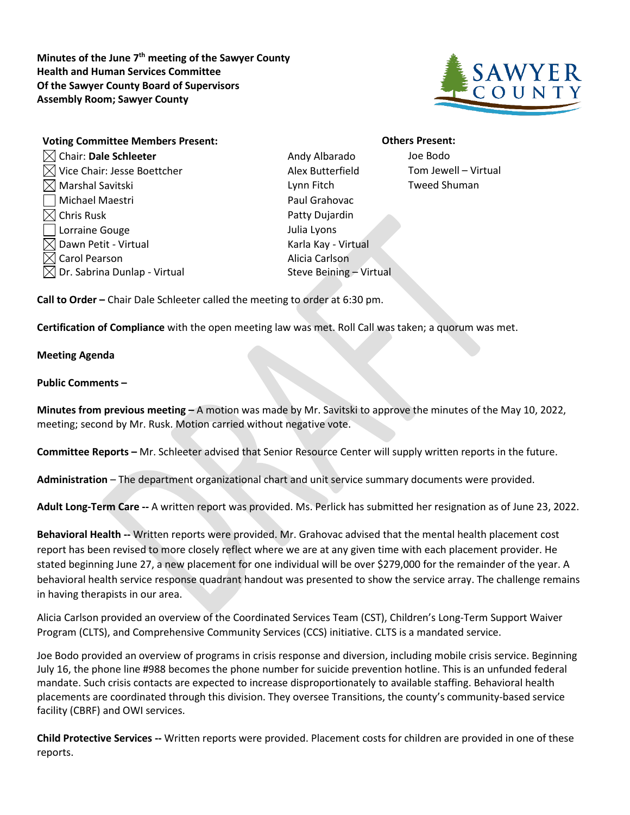**Minutes of the June 7th meeting of the Sawyer County Health and Human Services Committee Of the Sawyer County Board of Supervisors Assembly Room; Sawyer County**



| <b>Voting Committee Members Present:</b> |
|------------------------------------------|
| Chair: Dale Schleeter                    |
| Vice Chair: Jesse Boettcher              |
| $\triangleleft$ Marshal Savitski         |
| Michael Maestri                          |
| $\triangleleft$ Chris Rusk               |
| Lorraine Gouge                           |
| Dawn Petit - Virtual                     |
| Carol Pearson                            |
| Dr. Sabrina Dunlap - Virtual             |

Andy Albarado **Joe Bodo** Alex Butterfield Tom Jewell – Virtual Lynn Fitch Tweed Shuman Paul Grahovac Patty Dujardin Julia Lyons Karla Kay - Virtual Alicia Carlson Steve Beining – Virtual

## **Others Present:**

**Call to Order –** Chair Dale Schleeter called the meeting to order at 6:30 pm.

**Certification of Compliance** with the open meeting law was met. Roll Call was taken; a quorum was met.

## **Meeting Agenda**

## **Public Comments –**

**Minutes from previous meeting –** A motion was made by Mr. Savitski to approve the minutes of the May 10, 2022, meeting; second by Mr. Rusk. Motion carried without negative vote.

**Committee Reports –** Mr. Schleeter advised that Senior Resource Center will supply written reports in the future.

**Administration** – The department organizational chart and unit service summary documents were provided.

**Adult Long-Term Care --** A written report was provided. Ms. Perlick has submitted her resignation as of June 23, 2022.

**Behavioral Health --** Written reports were provided. Mr. Grahovac advised that the mental health placement cost report has been revised to more closely reflect where we are at any given time with each placement provider. He stated beginning June 27, a new placement for one individual will be over \$279,000 for the remainder of the year. A behavioral health service response quadrant handout was presented to show the service array. The challenge remains in having therapists in our area.

Alicia Carlson provided an overview of the Coordinated Services Team (CST), Children's Long-Term Support Waiver Program (CLTS), and Comprehensive Community Services (CCS) initiative. CLTS is a mandated service.

Joe Bodo provided an overview of programs in crisis response and diversion, including mobile crisis service. Beginning July 16, the phone line #988 becomes the phone number for suicide prevention hotline. This is an unfunded federal mandate. Such crisis contacts are expected to increase disproportionately to available staffing. Behavioral health placements are coordinated through this division. They oversee Transitions, the county's community-based service facility (CBRF) and OWI services.

**Child Protective Services --** Written reports were provided. Placement costs for children are provided in one of these reports.